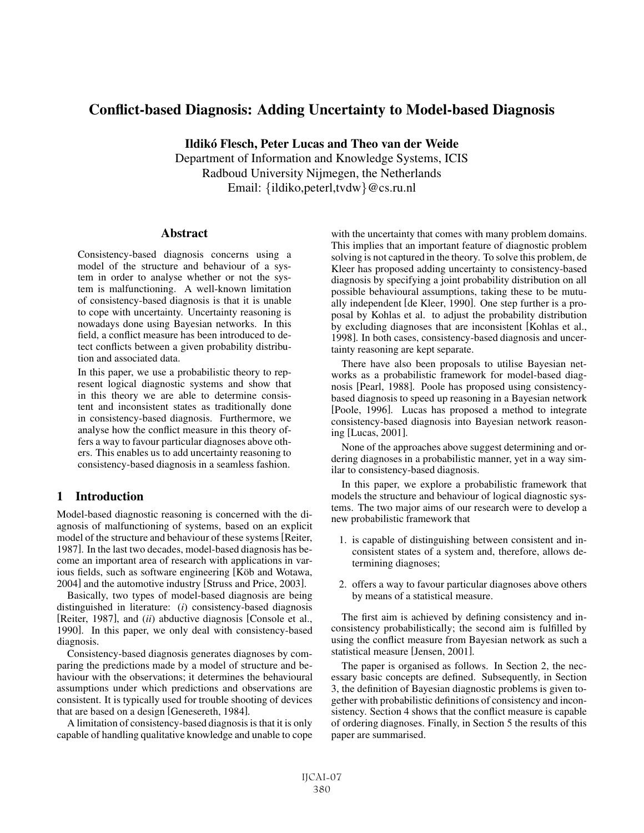# Conflict-based Diagnosis: Adding Uncertainty to Model-based Diagnosis

Ildiko Flesch, Peter Lucas and Theo van der Weide ´

Department of Information and Knowledge Systems, ICIS Radboud University Nijmegen, the Netherlands Email: {ildiko,peterl,tvdw}@cs.ru.nl

### **Abstract**

Consistency-based diagnosis concerns using a model of the structure and behaviour of a system in order to analyse whether or not the system is malfunctioning. A well-known limitation of consistency-based diagnosis is that it is unable to cope with uncertainty. Uncertainty reasoning is nowadays done using Bayesian networks. In this field, a conflict measure has been introduced to detect conflicts between a given probability distribution and associated data.

In this paper, we use a probabilistic theory to represent logical diagnostic systems and show that in this theory we are able to determine consistent and inconsistent states as traditionally done in consistency-based diagnosis. Furthermore, we analyse how the conflict measure in this theory offers a way to favour particular diagnoses above others. This enables us to add uncertainty reasoning to consistency-based diagnosis in a seamless fashion.

## 1 Introduction

Model-based diagnostic reasoning is concerned with the diagnosis of malfunctioning of systems, based on an explicit model of the structure and behaviour of these systems [Reiter, 1987]. In the last two decades, model-based diagnosis has become an important area of research with applications in various fields, such as software engineering [Köb and Wotawa, 2004] and the automotive industry [Struss and Price, 2003].

Basically, two types of model-based diagnosis are being distinguished in literature: (*i*) consistency-based diagnosis [Reiter, 1987], and (*ii*) abductive diagnosis [Console et al., 1990]. In this paper, we only deal with consistency-based diagnosis.

Consistency-based diagnosis generates diagnoses by comparing the predictions made by a model of structure and behaviour with the observations; it determines the behavioural assumptions under which predictions and observations are consistent. It is typically used for trouble shooting of devices that are based on a design [Genesereth, 1984].

A limitation of consistency-based diagnosis is that it is only capable of handling qualitative knowledge and unable to cope with the uncertainty that comes with many problem domains. This implies that an important feature of diagnostic problem solving is not captured in the theory. To solve this problem, de Kleer has proposed adding uncertainty to consistency-based diagnosis by specifying a joint probability distribution on all possible behavioural assumptions, taking these to be mutually independent [de Kleer, 1990]. One step further is a proposal by Kohlas et al. to adjust the probability distribution by excluding diagnoses that are inconsistent [Kohlas et al., 1998]. In both cases, consistency-based diagnosis and uncertainty reasoning are kept separate.

There have also been proposals to utilise Bayesian networks as a probabilistic framework for model-based diagnosis [Pearl, 1988]. Poole has proposed using consistencybased diagnosis to speed up reasoning in a Bayesian network [Poole, 1996]. Lucas has proposed a method to integrate consistency-based diagnosis into Bayesian network reasoning [Lucas, 2001].

None of the approaches above suggest determining and ordering diagnoses in a probabilistic manner, yet in a way similar to consistency-based diagnosis.

In this paper, we explore a probabilistic framework that models the structure and behaviour of logical diagnostic systems. The two major aims of our research were to develop a new probabilistic framework that

- 1. is capable of distinguishing between consistent and inconsistent states of a system and, therefore, allows determining diagnoses;
- 2. offers a way to favour particular diagnoses above others by means of a statistical measure.

The first aim is achieved by defining consistency and inconsistency probabilistically; the second aim is fulfilled by using the conflict measure from Bayesian network as such a statistical measure [Jensen, 2001].

The paper is organised as follows. In Section 2, the necessary basic concepts are defined. Subsequently, in Section 3, the definition of Bayesian diagnostic problems is given together with probabilistic definitions of consistency and inconsistency. Section 4 shows that the conflict measure is capable of ordering diagnoses. Finally, in Section 5 the results of this paper are summarised.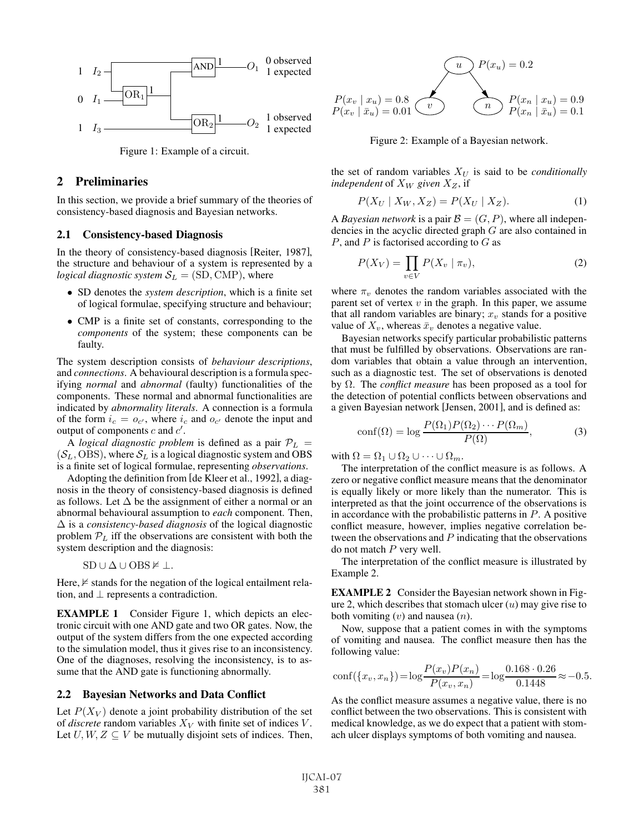

Figure 1: Example of a circuit.

## 2 Preliminaries

In this section, we provide a brief summary of the theories of consistency-based diagnosis and Bayesian networks.

#### 2.1 Consistency-based Diagnosis

In the theory of consistency-based diagnosis [Reiter, 1987], the structure and behaviour of a system is represented by a *logical diagnostic system*  $S_L = (SD, \text{CMP})$ , where

- SD denotes the *system description*, which is a finite set of logical formulae, specifying structure and behaviour;
- CMP is a finite set of constants, corresponding to the *components* of the system; these components can be faulty.

The system description consists of *behaviour descriptions*, and *connections*. A behavioural description is a formula specifying *normal* and *abnormal* (faulty) functionalities of the components. These normal and abnormal functionalities are indicated by *abnormality literals*. A connection is a formula of the form  $i_c = o_{c'}$ , where  $i_c$  and  $o_{c'}$  denote the input and output of components c and  $c'$ output of components c and  $c'$ .

A *logical diagnostic problem* is defined as a pair  $P_L$  =  $(S_L, OBS)$ , where  $S_L$  is a logical diagnostic system and OBS is a finite set of logical formulae, representing *observations*.

Adopting the definition from [de Kleer et al., 1992], a diagnosis in the theory of consistency-based diagnosis is defined as follows. Let  $\Delta$  be the assignment of either a normal or an abnormal behavioural assumption to *each* component. Then, Δ is a *consistency-based diagnosis* of the logical diagnostic problem  $P<sub>L</sub>$  iff the observations are consistent with both the system description and the diagnosis:

$$
SD \cup \Delta \cup OBS \nvDash \bot.
$$

Here,  $\not\vDash$  stands for the negation of the logical entailment relation, and  $\perp$  represents a contradiction.

EXAMPLE 1 Consider Figure 1, which depicts an electronic circuit with one AND gate and two OR gates. Now, the output of the system differs from the one expected according to the simulation model, thus it gives rise to an inconsistency. One of the diagnoses, resolving the inconsistency, is to assume that the AND gate is functioning abnormally.

#### 2.2 Bayesian Networks and Data Conflict

Let  $P(X_V)$  denote a joint probability distribution of the set of *discrete* random variables  $X_V$  with finite set of indices  $V$ . Let  $U, W, Z \subseteq V$  be mutually disjoint sets of indices. Then,



Figure 2: Example of a Bayesian network.

the set of random variables  $X_U$  is said to be *conditionally independent* of  $X_W$  *given*  $X_Z$ , if

$$
P(X_U \mid X_W, X_Z) = P(X_U \mid X_Z). \tag{1}
$$

A *Bayesian network* is a pair  $\mathcal{B} = (G, P)$ , where all independencies in the acyclic directed graph G are also contained in  $P$ , and  $P$  is factorised according to  $G$  as

$$
P(X_V) = \prod_{v \in V} P(X_v \mid \pi_v), \tag{2}
$$

where  $\pi_v$  denotes the random variables associated with the parent set of vertex  $v$  in the graph. In this paper, we assume that all random variables are binary;  $x<sub>v</sub>$  stands for a positive value of  $X_v$ , whereas  $\bar{x}_v$  denotes a negative value.

Bayesian networks specify particular probabilistic patterns that must be fulfilled by observations. Observations are random variables that obtain a value through an intervention, such as a diagnostic test. The set of observations is denoted by Ω. The *conflict measure* has been proposed as a tool for the detection of potential conflicts between observations and a given Bayesian network [Jensen, 2001], and is defined as:

$$
conf(\Omega) = \log \frac{P(\Omega_1)P(\Omega_2)\cdots P(\Omega_m)}{P(\Omega)},
$$
\n(3)

with  $\Omega = \Omega_1 \cup \Omega_2 \cup \cdots \cup \Omega_m$ .

The interpretation of the conflict measure is as follows. A zero or negative conflict measure means that the denominator is equally likely or more likely than the numerator. This is interpreted as that the joint occurrence of the observations is in accordance with the probabilistic patterns in  $P$ . A positive conflict measure, however, implies negative correlation between the observations and  $P$  indicating that the observations do not match  $P$  very well.

The interpretation of the conflict measure is illustrated by Example 2.

EXAMPLE 2 Consider the Bayesian network shown in Figure 2, which describes that stomach ulcer  $(u)$  may give rise to both vomiting  $(v)$  and nausea  $(n)$ .

Now, suppose that a patient comes in with the symptoms of vomiting and nausea. The conflict measure then has the following value:

$$
conf({x_v, x_n}) = \log \frac{P(x_v)P(x_n)}{P(x_v, x_n)} = \log \frac{0.168 \cdot 0.26}{0.1448} \approx -0.5.
$$

As the conflict measure assumes a negative value, there is no conflict between the two observations. This is consistent with medical knowledge, as we do expect that a patient with stomach ulcer displays symptoms of both vomiting and nausea.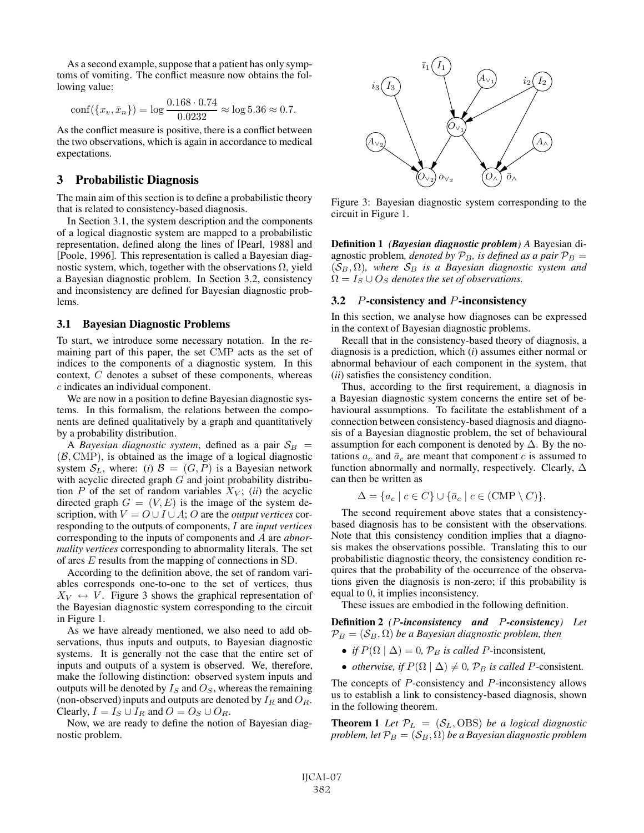As a second example, suppose that a patient has only symptoms of vomiting. The conflict measure now obtains the following value:

$$
conf({x_v, \bar{x}_n}) = \log \frac{0.168 \cdot 0.74}{0.0232} \approx \log 5.36 \approx 0.7.
$$
  
As the conflict measure is positive, there is a conflict between

the two observations, which is again in accordance to medical expectations.

## 3 Probabilistic Diagnosis

The main aim of this section is to define a probabilistic theory that is related to consistency-based diagnosis.

In Section 3.1, the system description and the components of a logical diagnostic system are mapped to a probabilistic representation, defined along the lines of [Pearl, 1988] and [Poole, 1996]. This representation is called a Bayesian diagnostic system, which, together with the observations  $\Omega$ , yield a Bayesian diagnostic problem. In Section 3.2, consistency and inconsistency are defined for Bayesian diagnostic problems.

#### 3.1 Bayesian Diagnostic Problems

To start, we introduce some necessary notation. In the remaining part of this paper, the set CMP acts as the set of indices to the components of a diagnostic system. In this context, C denotes a subset of these components, whereas c indicates an individual component.

We are now in a position to define Bayesian diagnostic systems. In this formalism, the relations between the components are defined qualitatively by a graph and quantitatively by a probability distribution.

A *Bayesian diagnostic system*, defined as a pair  $S_B$  =  $(B, \text{CMP})$ , is obtained as the image of a logical diagnostic system  $S_L$ , where: (*i*)  $\mathcal{B} = (G, P)$  is a Bayesian network with acyclic directed graph  $G$  and joint probability distribution  $P$  of the set of random variables  $X_V$ ; *(ii)* the acyclic directed graph  $G = (V, E)$  is the image of the system description, with  $V = O \cup I \cup A$ ; O are the *output vertices* corresponding to the outputs of components, I are *input vertices* corresponding to the inputs of components and A are *abnormality vertices* corresponding to abnormality literals. The set of arcs <sup>E</sup> results from the mapping of connections in SD.

According to the definition above, the set of random variables corresponds one-to-one to the set of vertices, thus  $X_V \leftrightarrow V$ . Figure 3 shows the graphical representation of the Bayesian diagnostic system corresponding to the circuit in Figure 1.

As we have already mentioned, we also need to add observations, thus inputs and outputs, to Bayesian diagnostic systems. It is generally not the case that the entire set of inputs and outputs of a system is observed. We, therefore, make the following distinction: observed system inputs and outputs will be denoted by  $I_S$  and  $O_S$ , whereas the remaining (non-observed) inputs and outputs are denoted by  $I_R$  and  $O_R$ . Clearly,  $I = I_S \cup I_R$  and  $O = O_S \cup O_R$ .

Now, we are ready to define the notion of Bayesian diagnostic problem.



Figure 3: Bayesian diagnostic system corresponding to the circuit in Figure 1.

Definition 1 *(Bayesian diagnostic problem) A* Bayesian diagnostic problem, *denoted by*  $\mathcal{P}_B$ *, is defined as a pair*  $\mathcal{P}_B$  =  $(S_B, \Omega)$ , where  $S_B$  *is a Bayesian diagnostic system and*  $\Omega = I_S \cup O_S$  *denotes the set of observations.* 

## 3.2 P-consistency and P-inconsistency

In this section, we analyse how diagnoses can be expressed in the context of Bayesian diagnostic problems.

Recall that in the consistency-based theory of diagnosis, a diagnosis is a prediction, which (*i*) assumes either normal or abnormal behaviour of each component in the system, that (*ii*) satisfies the consistency condition.

Thus, according to the first requirement, a diagnosis in a Bayesian diagnostic system concerns the entire set of behavioural assumptions. To facilitate the establishment of a connection between consistency-based diagnosis and diagnosis of a Bayesian diagnostic problem, the set of behavioural assumption for each component is denoted by  $\Delta$ . By the notations  $a_c$  and  $\bar{a}_c$  are meant that component c is assumed to function abnormally and normally, respectively. Clearly,  $\Delta$ can then be written as

$$
\Delta = \{a_c \mid c \in C\} \cup \{\bar{a}_c \mid c \in (\text{CMP} \setminus C)\}.
$$

The second requirement above states that a consistencybased diagnosis has to be consistent with the observations. Note that this consistency condition implies that a diagnosis makes the observations possible. Translating this to our probabilistic diagnostic theory, the consistency condition requires that the probability of the occurrence of the observations given the diagnosis is non-zero; if this probability is equal to 0, it implies inconsistency.

These issues are embodied in the following definition.

Definition 2 *(*P*-inconsistency and* P*-consistency) Let*  $\mathcal{P}_B = (\mathcal{S}_B, \Omega)$  *be a Bayesian diagnostic problem, then* 

- *if*  $P(\Omega | \Delta) = 0$ ,  $P_B$  *is called P*-inconsistent,
- *otherwise, if*  $P(\Omega | \Delta) \neq 0$ ,  $\mathcal{P}_B$  *is called P*-consistent.

The concepts of P-consistency and P-inconsistency allows us to establish a link to consistency-based diagnosis, shown in the following theorem.

**Theorem 1** Let  $\mathcal{P}_L = (\mathcal{S}_L, \text{OBS})$  *be a logical diagnostic problem, let*  $\mathcal{P}_B = (\mathcal{S}_B, \Omega)$  *be a Bayesian diagnostic problem*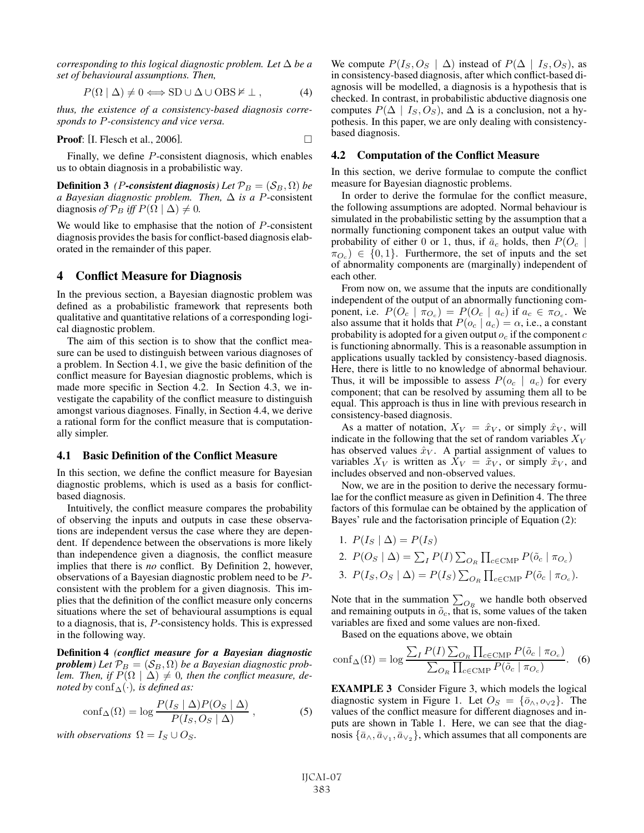*corresponding to this logical diagnostic problem. Let* Δ *be a set of behavioural assumptions. Then,*

$$
P(\Omega | \Delta) \neq 0 \Longleftrightarrow SD \cup \Delta \cup OBS \neq \bot, \tag{4}
$$

*thus, the existence of a consistency-based diagnosis corresponds to* P*-consistency and vice versa.*

**Proof:** [I. Flesch et al., 2006]. 
$$
\Box
$$

Finally, we define P-consistent diagnosis, which enables us to obtain diagnosis in a probabilistic way.

**Definition 3** *(P-consistent diagnosis)* Let  $\mathcal{P}_B = (\mathcal{S}_B, \Omega)$  be *a Bayesian diagnostic problem. Then,* Δ *is a* <sup>P</sup>-consistent diagnosis *of*  $\mathcal{P}_B$  *iff*  $P(\Omega | \Delta) \neq 0$ *.* 

We would like to emphasise that the notion of  $P$ -consistent diagnosis provides the basis for conflict-based diagnosis elaborated in the remainder of this paper.

#### 4 Conflict Measure for Diagnosis

In the previous section, a Bayesian diagnostic problem was defined as a probabilistic framework that represents both qualitative and quantitative relations of a corresponding logical diagnostic problem.

The aim of this section is to show that the conflict measure can be used to distinguish between various diagnoses of a problem. In Section 4.1, we give the basic definition of the conflict measure for Bayesian diagnostic problems, which is made more specific in Section 4.2. In Section 4.3, we investigate the capability of the conflict measure to distinguish amongst various diagnoses. Finally, in Section 4.4, we derive a rational form for the conflict measure that is computationally simpler.

### 4.1 Basic Definition of the Conflict Measure

In this section, we define the conflict measure for Bayesian diagnostic problems, which is used as a basis for conflictbased diagnosis.

Intuitively, the conflict measure compares the probability of observing the inputs and outputs in case these observations are independent versus the case where they are dependent. If dependence between the observations is more likely than independence given a diagnosis, the conflict measure implies that there is *no* conflict. By Definition 2, however, observations of a Bayesian diagnostic problem need to be Pconsistent with the problem for a given diagnosis. This implies that the definition of the conflict measure only concerns situations where the set of behavioural assumptions is equal to a diagnosis, that is, P-consistency holds. This is expressed in the following way.

Definition 4 *(conflict measure for a Bayesian diagnostic problem*) Let  $\mathcal{P}_B = (\mathcal{S}_B, \Omega)$  *be a Bayesian diagnostic problem. Then, if*  $P(\Omega | \Delta) \neq 0$ *, then the conflict measure, denoted by* conf $\Delta(\cdot)$ *, is defined as:* 

$$
\text{conf}_{\Delta}(\Omega) = \log \frac{P(I_S \mid \Delta) P(O_S \mid \Delta)}{P(I_S, O_S \mid \Delta)},
$$
\n(5)

*with observations*  $\Omega = I_S \cup O_S$ *.* 

We compute  $P(I_S, O_S | \Delta)$  instead of  $P(\Delta | I_S, O_S)$ , as in consistency-based diagnosis, after which conflict-based diagnosis will be modelled, a diagnosis is a hypothesis that is checked. In contrast, in probabilistic abductive diagnosis one computes  $P(\Delta | I_S, O_S)$ , and  $\Delta$  is a conclusion, not a hypothesis. In this paper, we are only dealing with consistencybased diagnosis.

## 4.2 Computation of the Conflict Measure

In this section, we derive formulae to compute the conflict measure for Bayesian diagnostic problems.

In order to derive the formulae for the conflict measure, the following assumptions are adopted. Normal behaviour is simulated in the probabilistic setting by the assumption that a normally functioning component takes an output value with probability of either 0 or 1, thus, if  $\bar{a}_c$  holds, then  $P(O_c |$  $\pi_{O_c}$ )  $\in \{0,1\}$ . Furthermore, the set of inputs and the set of abnormality components are (marginally) independent of each other.

From now on, we assume that the inputs are conditionally independent of the output of an abnormally functioning component, i.e.  $P(O_c \mid \pi_{O_c}) = P(O_c \mid a_c)$  if  $a_c \in \pi_{O_c}$ . We also assume that it holds that  $P(o_c | a_c) = \alpha$ , i.e., a constant probability is adopted for a given output  $o_c$  if the component c is functioning abnormally. This is a reasonable assumption in applications usually tackled by consistency-based diagnosis. Here, there is little to no knowledge of abnormal behaviour. Thus, it will be impossible to assess  $P(o_c \mid a_c)$  for every component; that can be resolved by assuming them all to be equal. This approach is thus in line with previous research in consistency-based diagnosis.

As a matter of notation,  $X_V = \hat{x}_V$ , or simply  $\hat{x}_V$ , will indicate in the following that the set of random variables  $X_V$ has observed values  $\hat{x}_V$ . A partial assignment of values to variables  $X_V$  is written as  $X_V = \tilde{x}_V$ , or simply  $\tilde{x}_V$ , and includes observed and non-observed values.

Now, we are in the position to derive the necessary formulae for the conflict measure as given in Definition 4. The three factors of this formulae can be obtained by the application of Bayes' rule and the factorisation principle of Equation (2):

- 1.  $P(I_S | \Delta) = P(I_S)$
- 2.  $P(O_S | \Delta) = \sum_I P(I) \sum_{O_R} \prod_{c \in \text{CMP}} P(\tilde{o}_c | \pi_{O_c})$ 3.  $P(I_S, O_S | \Delta) = P(I_S) \sum_{O_R} \prod_{c \in \text{CMP}} P(\tilde{o}_c | \pi_{O_c}).$

Note that in the summation  $\sum_{O_R}$  we handle both observed and remaining outputs in  $\tilde{o}_c$ , that is, some values of the taken variables are fixed and some values are non-fixed.

Based on the equations above, we obtain

$$
\text{conf}_{\Delta}(\Omega) = \log \frac{\sum_{I} P(I) \sum_{O_R} \prod_{c \in \text{CMP}} P(\tilde{o}_c \mid \pi_{O_c})}{\sum_{O_R} \prod_{c \in \text{CMP}} P(\tilde{o}_c \mid \pi_{O_c})}.
$$
 (6)

EXAMPLE 3 Consider Figure 3, which models the logical diagnostic system in Figure 1. Let  $O_S = \{\bar{o}_{\land}, o_{\lor 2}\}\$ . The values of the conflict measure for different diagnoses and inputs are shown in Table 1. Here, we can see that the diagnosis  $\{\bar{a}_{\wedge}, \bar{a}_{\vee}, \bar{a}_{\vee},\}$ , which assumes that all components are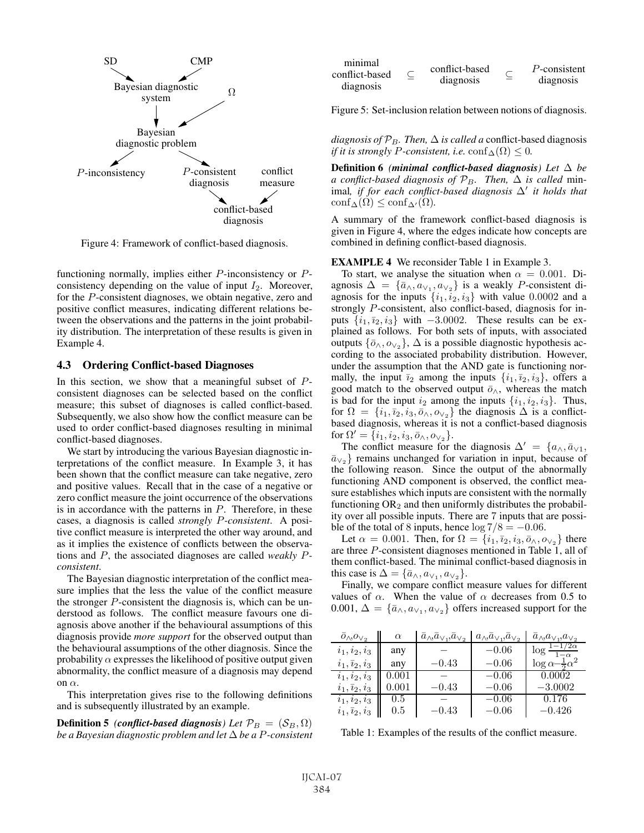

Figure 4: Framework of conflict-based diagnosis.

functioning normally, implies either P-inconsistency or Pconsistency depending on the value of input  $I_2$ . Moreover, for the P-consistent diagnoses, we obtain negative, zero and positive conflict measures, indicating different relations between the observations and the patterns in the joint probability distribution. The interpretation of these results is given in Example 4.

#### 4.3 Ordering Conflict-based Diagnoses

In this section, we show that a meaningful subset of  $P$ consistent diagnoses can be selected based on the conflict measure; this subset of diagnoses is called conflict-based. Subsequently, we also show how the conflict measure can be used to order conflict-based diagnoses resulting in minimal conflict-based diagnoses.

We start by introducing the various Bayesian diagnostic interpretations of the conflict measure. In Example 3, it has been shown that the conflict measure can take negative, zero and positive values. Recall that in the case of a negative or zero conflict measure the joint occurrence of the observations is in accordance with the patterns in  $P$ . Therefore, in these cases, a diagnosis is called *strongly* P*-consistent*. A positive conflict measure is interpreted the other way around, and as it implies the existence of conflicts between the observations and P, the associated diagnoses are called *weakly* P*consistent*.

The Bayesian diagnostic interpretation of the conflict measure implies that the less the value of the conflict measure the stronger P-consistent the diagnosis is, which can be understood as follows. The conflict measure favours one diagnosis above another if the behavioural assumptions of this diagnosis provide *more support* for the observed output than the behavioural assumptions of the other diagnosis. Since the probability  $\alpha$  expresses the likelihood of positive output given abnormality, the conflict measure of a diagnosis may depend on  $\alpha$ .

This interpretation gives rise to the following definitions and is subsequently illustrated by an example.

**Definition 5** *(conflict-based diagnosis)* Let  $\mathcal{P}_B = (\mathcal{S}_B, \Omega)$ *be a Bayesian diagnostic problem and let* Δ *be a* <sup>P</sup>*-consistent*

| minimal        | conflict-based<br>diagnosis | P-consistent<br>diagnosis |
|----------------|-----------------------------|---------------------------|
| conflict-based |                             |                           |
| diagnosis      |                             |                           |

Figure 5: Set-inclusion relation between notions of diagnosis.

*diagnosis of*  $\mathcal{P}_B$ *. Then,*  $\Delta$  *is called a* conflict-based diagnosis *if it is strongly P-consistent, i.e.*  $\text{conf}_{\Delta}(\Omega) \leq 0$ .

Definition 6 *(minimal conflict-based diagnosis) Let* Δ *be a conflict-based diagnosis of*  $\mathcal{P}_B$ *. Then,*  $\Delta$  *is called* minimal, *if for each conflict-based diagnosis*  $\Delta'$  *it holds that*  $\text{conf}_{\Delta}(\Omega) \leq \text{conf}_{\Delta}(\Omega)$  $\mathrm{conf}_{\Delta}(\Omega) \leq \mathrm{conf}_{\Delta'}(\Omega).$ 

A summary of the framework conflict-based diagnosis is given in Figure 4, where the edges indicate how concepts are combined in defining conflict-based diagnosis.

#### EXAMPLE 4 We reconsider Table 1 in Example 3.

To start, we analyse the situation when  $\alpha = 0.001$ . Diagnosis  $\Delta = {\bar{a}_{\wedge}, a_{\vee_1}, a_{\vee_2}}$  is a weakly *P*-consistent diagnosis for the inputs  $\{i_1, i_2, i_3\}$  with value 0.0002 and a strongly P-consistent, also conflict-based, diagnosis for inputs  $\{i_1, i_2, i_3\}$  with  $-3.0002$ . These results can be explained as follows. For both sets of inputs, with associated outputs  $\{\bar{o}_{\land}, o_{\lor 2}\}, \Delta$  is a possible diagnostic hypothesis according to the associated probability distribution. However, under the assumption that the AND gate is functioning normally, the input  $\bar{i}_2$  among the inputs  $\{i_1, \bar{i}_2, i_3\}$ , offers a good match to the observed output  $\bar{o}$ <sub>∧</sub>, whereas the match is bad for the input  $i_2$  among the inputs  $\{i_1, i_2, i_3\}$ . Thus, for  $\Omega = \{i_1, \overline{i_2}, i_3, \overline{o}_\wedge, o_{\vee_2}\}$  the diagnosis  $\Delta$  is a conflictbased diagnosis, whereas it is not a conflict-based diagnosis for  $\Omega' = \{i_1, i_2, i_3, \bar{o}_\wedge, o_{\vee_2}\}.$ <br>The conflict measure for

The conflict measure for the diagnosis  $\Delta' = \{a_{\wedge}, \bar{a}_{\vee 1}, a_{\vee} \}$  remains unchanged for variation in input because of  $\bar{a}_{\vee}$ } remains unchanged for variation in input, because of the following reason. Since the output of the abnormally functioning AND component is observed, the conflict measure establishes which inputs are consistent with the normally functioning  $OR_2$  and then uniformly distributes the probability over all possible inputs. There are 7 inputs that are possible of the total of 8 inputs, hence  $\log 7/8 = -0.06$ .

Let  $\alpha = 0.001$ . Then, for  $\Omega = \{i_1, \overline{i}_2, i_3, \overline{o}_\wedge, o_{\vee_2}\}$  there are three P-consistent diagnoses mentioned in Table 1, all of them conflict-based. The minimal conflict-based diagnosis in this case is  $\Delta = {\bar{a}_{\wedge}, a_{\vee_1}, a_{\vee_2}}$ .

Finally, we compare conflict measure values for different values of  $\alpha$ . When the value of  $\alpha$  decreases from 0.5 to 0.001,  $\Delta = {\bar{a}_{\wedge}, a_{\vee_1}, a_{\vee_2}}$  offers increased support for the

| $O_{\bigwedge}, O_{\bigvee}_2$ | $\alpha$  | $a_{\wedge}, a_{\vee_1}, a_{\vee_2}$ | $a_{\wedge},\bar{a}_{\vee_1},\bar{a}_{\vee_2}$ | $a_{\wedge} a_{\vee_1}, a_{\vee_2}$  |
|--------------------------------|-----------|--------------------------------------|------------------------------------------------|--------------------------------------|
| $i_1, i_2, i_3$                | any       |                                      | $-0.06$                                        | $\log \frac{1-1/2\alpha}{1}$         |
| $i_1, \overline{i}_2, i_3$     | any       | $-0.43$                              | $-0.06$                                        | $\log \alpha - \frac{1}{2} \alpha^2$ |
| $i_1, i_2, i_3$                | 0.001     |                                      | $-0.06$                                        | 0.0002                               |
| $i_1, \overline{i}_2, i_3$     | $0.001\,$ | $-0.43$                              | $-0.06$                                        | $-3.0002$                            |
| $i_1, i_2, i_3$                | 0.5       |                                      | $-0.06$                                        | 0.176                                |
| $i_1, \overline{i}_2, i_3$     | 0.5       | $-0.43\,$                            | $-0.06$                                        | $-0.426\,$                           |
|                                |           |                                      |                                                |                                      |

Table 1: Examples of the results of the conflict measure.